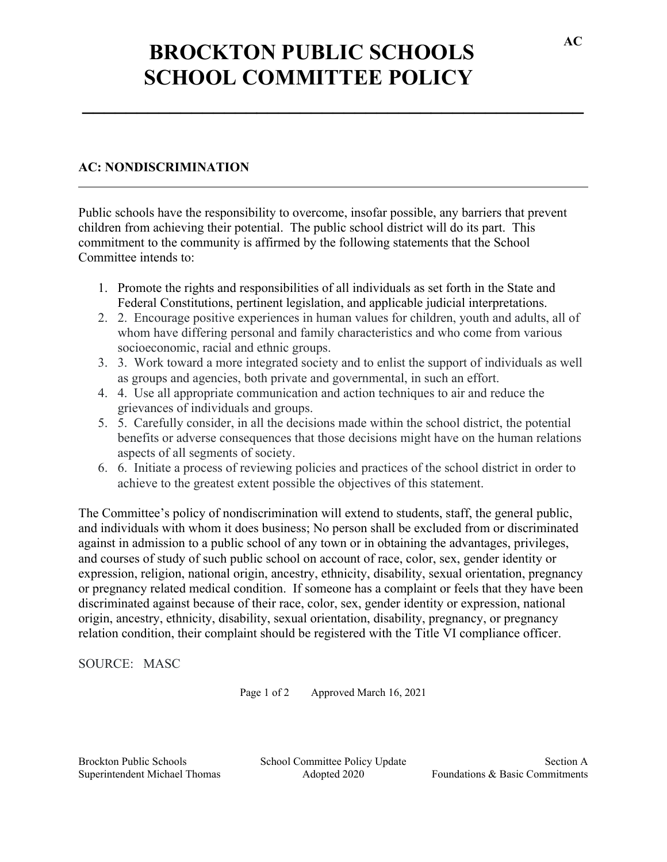## **BROCKTON PUBLIC SCHOOLS SCHOOL COMMITTEE POLICY**

**\_\_\_\_\_\_\_\_\_\_\_\_\_\_\_\_\_\_\_\_\_\_\_\_\_\_\_\_\_\_\_\_\_\_\_\_\_\_\_\_\_\_\_\_\_\_**

## **AC: NONDISCRIMINATION**

Public schools have the responsibility to overcome, insofar possible, any barriers that prevent children from achieving their potential. The public school district will do its part. This commitment to the community is affirmed by the following statements that the School Committee intends to:

- 1. Promote the rights and responsibilities of all individuals as set forth in the State and Federal Constitutions, pertinent legislation, and applicable judicial interpretations.
- 2. 2. Encourage positive experiences in human values for children, youth and adults, all of whom have differing personal and family characteristics and who come from various socioeconomic, racial and ethnic groups.
- 3. 3. Work toward a more integrated society and to enlist the support of individuals as well as groups and agencies, both private and governmental, in such an effort.
- 4. 4. Use all appropriate communication and action techniques to air and reduce the grievances of individuals and groups.
- 5. 5. Carefully consider, in all the decisions made within the school district, the potential benefits or adverse consequences that those decisions might have on the human relations aspects of all segments of society.
- 6. 6. Initiate a process of reviewing policies and practices of the school district in order to achieve to the greatest extent possible the objectives of this statement.

The Committee's policy of nondiscrimination will extend to students, staff, the general public, and individuals with whom it does business; No person shall be excluded from or discriminated against in admission to a public school of any town or in obtaining the advantages, privileges, and courses of study of such public school on account of race, color, sex, gender identity or expression, religion, national origin, ancestry, ethnicity, disability, sexual orientation, pregnancy or pregnancy related medical condition. If someone has a complaint or feels that they have been discriminated against because of their race, color, sex, gender identity or expression, national origin, ancestry, ethnicity, disability, sexual orientation, disability, pregnancy, or pregnancy relation condition, their complaint should be registered with the Title VI compliance officer.

SOURCE: MASC

Page 1 of 2 Approved March 16, 2021